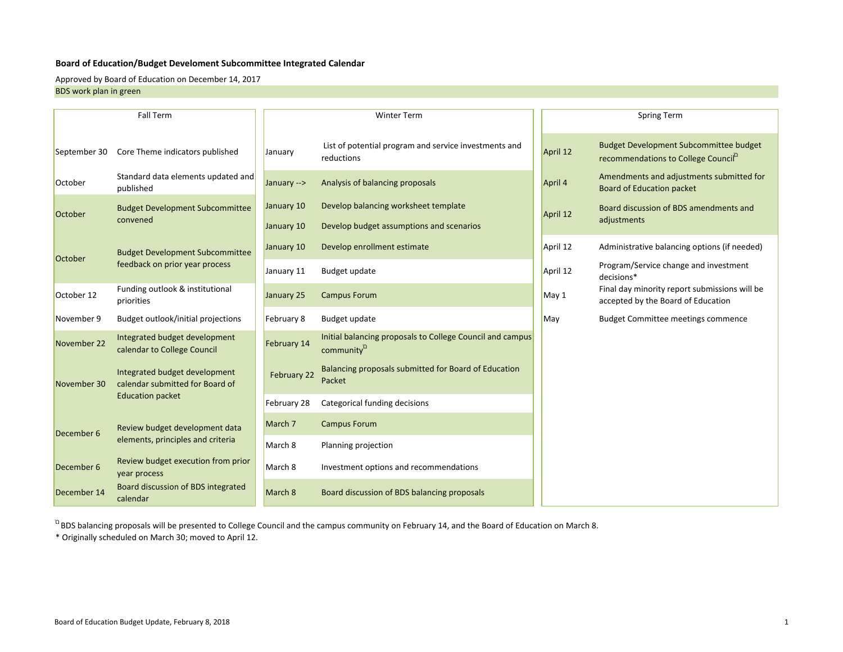#### **Board of Education/Budget Develoment Subcommittee Integrated Calendar**

Approved by Board of Education on December 14, 2017

BDS work plan in green

|              | <b>Fall Term</b>                                                 | <b>Winter Term</b>       |                                                                                     |          | <b>Spring Term</b>                                                                                |  |
|--------------|------------------------------------------------------------------|--------------------------|-------------------------------------------------------------------------------------|----------|---------------------------------------------------------------------------------------------------|--|
| September 30 | Core Theme indicators published                                  | January                  | List of potential program and service investments and<br>reductions                 | April 12 | <b>Budget Development Subcommittee budget</b><br>recommendations to College Council <sup>12</sup> |  |
| October      | Standard data elements updated and<br>published                  | January -->              | Analysis of balancing proposals                                                     | April 4  | Amendments and adjustments submitted for<br><b>Board of Education packet</b>                      |  |
| October      | <b>Budget Development Subcommittee</b><br>convened               | January 10<br>January 10 | Develop balancing worksheet template<br>Develop budget assumptions and scenarios    | April 12 | Board discussion of BDS amendments and<br>adjustments                                             |  |
|              | <b>Budget Development Subcommittee</b>                           | January 10               | Develop enrollment estimate                                                         | April 12 | Administrative balancing options (if needed)                                                      |  |
| October      | feedback on prior year process                                   | January 11               | Budget update                                                                       | April 12 | Program/Service change and investment<br>decisions*                                               |  |
| October 12   | Funding outlook & institutional<br>priorities                    | January 25               | <b>Campus Forum</b>                                                                 | May 1    | Final day minority report submissions will be<br>accepted by the Board of Education               |  |
| November 9   | Budget outlook/initial projections                               | February 8               | Budget update                                                                       | May      | <b>Budget Committee meetings commence</b>                                                         |  |
| November 22  | Integrated budget development<br>calendar to College Council     | February 14              | Initial balancing proposals to College Council and campus<br>community <sup>2</sup> |          |                                                                                                   |  |
| November 30  | Integrated budget development<br>calendar submitted for Board of | February 22              | Balancing proposals submitted for Board of Education<br>Packet                      |          |                                                                                                   |  |
|              | <b>Education packet</b>                                          | February 28              | Categorical funding decisions                                                       |          |                                                                                                   |  |
| December 6   | Review budget development data                                   | March 7                  | <b>Campus Forum</b>                                                                 |          |                                                                                                   |  |
|              | elements, principles and criteria                                | March 8                  | Planning projection                                                                 |          |                                                                                                   |  |
| December 6   | Review budget execution from prior<br>year process               | March 8                  | Investment options and recommendations                                              |          |                                                                                                   |  |
| December 14  | Board discussion of BDS integrated<br>calendar                   | March 8                  | Board discussion of BDS balancing proposals                                         |          |                                                                                                   |  |

 $n_B$ BDS balancing proposals will be presented to College Council and the campus community on February 14, and the Board of Education on March 8.

\* Originally scheduled on March 30; moved to April 12.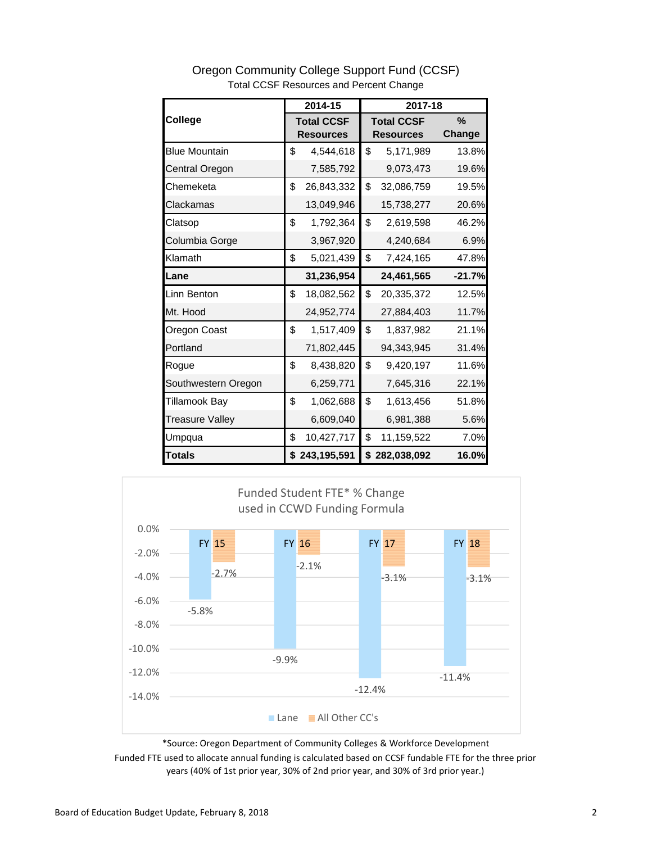| College                |    | 2014-15<br>2017-18 |    |                   |          |
|------------------------|----|--------------------|----|-------------------|----------|
|                        |    | <b>Total CCSF</b>  |    | <b>Total CCSF</b> | $\%$     |
|                        |    | <b>Resources</b>   |    | <b>Resources</b>  | Change   |
| <b>Blue Mountain</b>   | \$ | 4,544,618          | \$ | 5,171,989         | 13.8%    |
| Central Oregon         |    | 7,585,792          |    | 9,073,473         | 19.6%    |
| Chemeketa              | \$ | 26,843,332         | \$ | 32,086,759        | 19.5%    |
| Clackamas              |    | 13,049,946         |    | 15,738,277        | 20.6%    |
| Clatsop                | \$ | 1,792,364          | \$ | 2,619,598         | 46.2%    |
| Columbia Gorge         |    | 3,967,920          |    | 4,240,684         | 6.9%     |
| Klamath                | \$ | 5,021,439          | \$ | 7,424,165         | 47.8%    |
| Lane                   |    | 31,236,954         |    | 24,461,565        | $-21.7%$ |
| Linn Benton            | \$ | 18,082,562         | \$ | 20,335,372        | 12.5%    |
| Mt. Hood               |    | 24,952,774         |    | 27,884,403        | 11.7%    |
| Oregon Coast           | \$ | 1,517,409          | \$ | 1,837,982         | 21.1%    |
| Portland               |    | 71,802,445         |    | 94,343,945        | 31.4%    |
| Rogue                  | \$ | 8,438,820          | \$ | 9,420,197         | 11.6%    |
| Southwestern Oregon    |    | 6,259,771          |    | 7,645,316         | 22.1%    |
| <b>Tillamook Bay</b>   | \$ | 1,062,688          | \$ | 1,613,456         | 51.8%    |
| <b>Treasure Valley</b> |    | 6,609,040          |    | 6,981,388         | 5.6%     |
| Umpqua                 | \$ | 10,427,717         | \$ | 11,159,522        | 7.0%     |
| <b>Totals</b>          |    | \$243,195,591      |    | \$282,038,092     | 16.0%    |





\*Source: Oregon Department of Community Colleges & Workforce Development

Funded FTE used to allocate annual funding is calculated based on CCSF fundable FTE for the three prior years (40% of 1st prior year, 30% of 2nd prior year, and 30% of 3rd prior year.)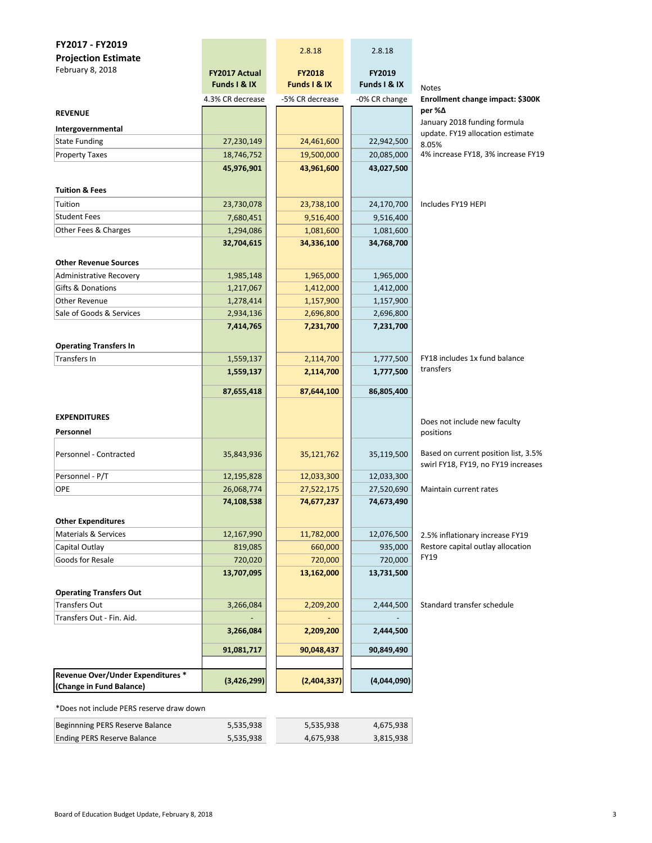| FY2017 - FY2019                                  |                          | 2.8.18                 | 2.8.18                   |                                             |
|--------------------------------------------------|--------------------------|------------------------|--------------------------|---------------------------------------------|
| <b>Projection Estimate</b>                       |                          |                        |                          |                                             |
| February 8, 2018                                 | <b>FY2017 Actual</b>     | <b>FY2018</b>          | FY2019                   |                                             |
|                                                  | Funds I & IX             | Funds I & IX           | Funds I & IX             | <b>Notes</b>                                |
|                                                  | 4.3% CR decrease         | -5% CR decrease        | -0% CR change            | Enrollment change impact: \$300K            |
| <b>REVENUE</b>                                   |                          |                        |                          | per %∆                                      |
|                                                  |                          |                        |                          | January 2018 funding formula                |
| Intergovernmental<br><b>State Funding</b>        | 27,230,149               | 24,461,600             | 22,942,500               | update. FY19 allocation estimate            |
| <b>Property Taxes</b>                            |                          | 19,500,000             |                          | 8.05%<br>4% increase FY18, 3% increase FY19 |
|                                                  | 18,746,752<br>45,976,901 | 43,961,600             | 20,085,000<br>43,027,500 |                                             |
|                                                  |                          |                        |                          |                                             |
| <b>Tuition &amp; Fees</b>                        |                          |                        |                          |                                             |
| Tuition                                          | 23,730,078               | 23,738,100             | 24,170,700               | Includes FY19 HEPI                          |
| <b>Student Fees</b>                              | 7,680,451                | 9,516,400              | 9,516,400                |                                             |
| Other Fees & Charges                             | 1,294,086                | 1,081,600              | 1,081,600                |                                             |
|                                                  | 32,704,615               | 34,336,100             | 34,768,700               |                                             |
|                                                  |                          |                        |                          |                                             |
| <b>Other Revenue Sources</b>                     |                          |                        |                          |                                             |
| Administrative Recovery                          | 1,985,148                | 1,965,000              | 1,965,000                |                                             |
| Gifts & Donations                                | 1,217,067                | 1,412,000              | 1,412,000                |                                             |
| <b>Other Revenue</b><br>Sale of Goods & Services | 1,278,414<br>2,934,136   | 1,157,900<br>2,696,800 | 1,157,900<br>2,696,800   |                                             |
|                                                  | 7,414,765                | 7,231,700              | 7,231,700                |                                             |
|                                                  |                          |                        |                          |                                             |
| <b>Operating Transfers In</b>                    |                          |                        |                          |                                             |
| <b>Transfers In</b>                              | 1,559,137                | 2,114,700              | 1,777,500                | FY18 includes 1x fund balance               |
|                                                  | 1,559,137                | 2,114,700              | 1,777,500                | transfers                                   |
|                                                  | 87,655,418               | 87,644,100             | 86,805,400               |                                             |
|                                                  |                          |                        |                          |                                             |
| <b>EXPENDITURES</b>                              |                          |                        |                          |                                             |
|                                                  |                          |                        |                          | Does not include new faculty                |
| Personnel                                        |                          |                        |                          | positions                                   |
| Personnel - Contracted                           | 35,843,936               | 35,121,762             | 35,119,500               | Based on current position list, 3.5%        |
|                                                  |                          |                        |                          | swirl FY18, FY19, no FY19 increases         |
| Personnel - P/T                                  | 12,195,828               | 12,033,300             | 12,033,300               |                                             |
| <b>OPE</b>                                       | 26,068,774               | 27,522,175             | 27,520,690               | Maintain current rates                      |
|                                                  | 74,108,538               | 74,677,237             | 74,673,490               |                                             |
| <b>Other Expenditures</b>                        |                          |                        |                          |                                             |
| Materials & Services                             | 12,167,990               | 11,782,000             | 12,076,500               | 2.5% inflationary increase FY19             |
| Capital Outlay                                   | 819,085                  | 660,000                | 935,000                  | Restore capital outlay allocation           |
| Goods for Resale                                 | 720,020                  | 720,000                | 720,000                  | FY19                                        |
|                                                  | 13,707,095               | 13,162,000             | 13,731,500               |                                             |
|                                                  |                          |                        |                          |                                             |
| <b>Operating Transfers Out</b>                   |                          |                        |                          |                                             |
| Transfers Out                                    | 3,266,084                | 2,209,200              | 2,444,500                | Standard transfer schedule                  |
| Transfers Out - Fin. Aid.                        |                          |                        |                          |                                             |
|                                                  | 3,266,084                | 2,209,200              | 2,444,500                |                                             |
|                                                  | 91,081,717               | 90,048,437             | 90,849,490               |                                             |
|                                                  |                          |                        |                          |                                             |
| Revenue Over/Under Expenditures *                | (3,426,299)              | (2,404,337)            | (4,044,090)              |                                             |
| (Change in Fund Balance)                         |                          |                        |                          |                                             |
|                                                  |                          |                        |                          |                                             |

\*Does not include PERS reserve draw down

| Beginnning PERS Reserve Balance    | 5.535.938 | 5.535.938 | 4,675,938 |
|------------------------------------|-----------|-----------|-----------|
| <b>Ending PERS Reserve Balance</b> | 5,535,938 | 4.675.938 | 3,815,938 |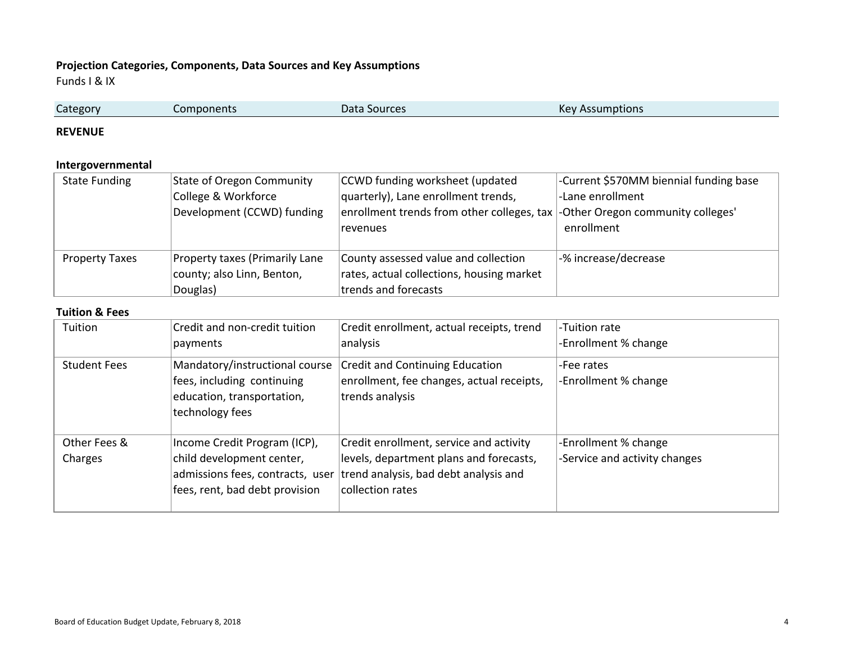## **Projection Categories, Components, Data Sources and Key Assumptions**

Funds I & IX

| Category | Components | Data Sources | <b>Kev Assi</b><br>Assumptions |
|----------|------------|--------------|--------------------------------|
|          |            |              |                                |

#### **REVENUE**

## **Intergovernmental**

| <b>State Funding</b>  | <b>State of Oregon Community</b> | CCWD funding worksheet (updated                                               | -Current \$570MM biennial funding base |
|-----------------------|----------------------------------|-------------------------------------------------------------------------------|----------------------------------------|
|                       | College & Workforce              | quarterly), Lane enrollment trends,                                           | -Lane enrollment                       |
|                       | Development (CCWD) funding       | enrollment trends from other colleges, tax  -Other Oregon community colleges' |                                        |
|                       |                                  | revenues                                                                      | enrollment                             |
|                       |                                  |                                                                               |                                        |
| <b>Property Taxes</b> | Property taxes (Primarily Lane   | County assessed value and collection                                          | -% increase/decrease                   |
|                       | county; also Linn, Benton,       | rates, actual collections, housing market                                     |                                        |
|                       | Douglas)                         | trends and forecasts                                                          |                                        |

#### **Tuition & Fees**

| Tuition                 | Credit and non-credit tuition<br>payments                                                                                       | Credit enrollment, actual receipts, trend<br>analysis                                                                                           | -Tuition rate<br>-Enrollment % change                 |
|-------------------------|---------------------------------------------------------------------------------------------------------------------------------|-------------------------------------------------------------------------------------------------------------------------------------------------|-------------------------------------------------------|
| <b>Student Fees</b>     | Mandatory/instructional course<br>fees, including continuing<br>education, transportation,<br>technology fees                   | <b>Credit and Continuing Education</b><br>enrollment, fee changes, actual receipts,<br>trends analysis                                          | -Fee rates<br>-Enrollment % change                    |
| Other Fees &<br>Charges | Income Credit Program (ICP),<br>child development center,<br>admissions fees, contracts, user<br>fees, rent, bad debt provision | Credit enrollment, service and activity<br>levels, department plans and forecasts,<br>trend analysis, bad debt analysis and<br>collection rates | -Enrollment % change<br>-Service and activity changes |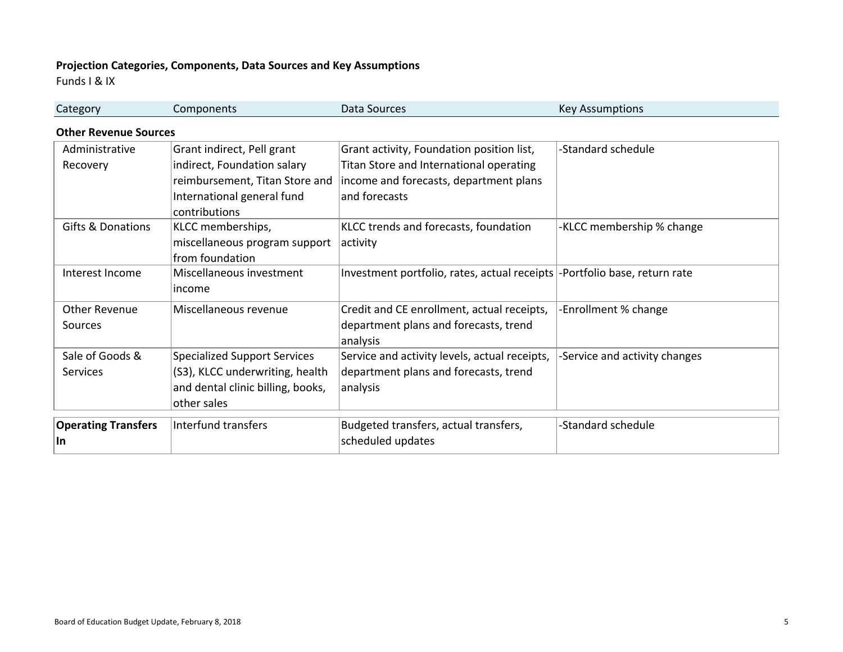# **Projection Categories, Components, Data Sources and Key Assumptions**

Funds I & IX

| Category                     | Components                          | Data Sources                                                               | <b>Key Assumptions</b>        |
|------------------------------|-------------------------------------|----------------------------------------------------------------------------|-------------------------------|
| <b>Other Revenue Sources</b> |                                     |                                                                            |                               |
| Administrative               | Grant indirect, Pell grant          | Grant activity, Foundation position list,                                  | -Standard schedule            |
| Recovery                     | indirect, Foundation salary         | Titan Store and International operating                                    |                               |
|                              | reimbursement, Titan Store and      | income and forecasts, department plans                                     |                               |
|                              | International general fund          | and forecasts                                                              |                               |
|                              | contributions                       |                                                                            |                               |
| <b>Gifts &amp; Donations</b> | KLCC memberships,                   | KLCC trends and forecasts, foundation                                      | -KLCC membership % change     |
|                              | miscellaneous program support       | activity                                                                   |                               |
|                              | from foundation                     |                                                                            |                               |
| Interest Income              | Miscellaneous investment            | Investment portfolio, rates, actual receipts  -Portfolio base, return rate |                               |
|                              | income                              |                                                                            |                               |
| <b>Other Revenue</b>         | Miscellaneous revenue               | Credit and CE enrollment, actual receipts,                                 | -Enrollment % change          |
| Sources                      |                                     | department plans and forecasts, trend                                      |                               |
|                              |                                     | analysis                                                                   |                               |
| Sale of Goods &              | <b>Specialized Support Services</b> | Service and activity levels, actual receipts,                              | -Service and activity changes |
| <b>Services</b>              | (S3), KLCC underwriting, health     | department plans and forecasts, trend                                      |                               |
|                              | and dental clinic billing, books,   | analysis                                                                   |                               |
|                              | other sales                         |                                                                            |                               |
| <b>Operating Transfers</b>   | Interfund transfers                 | Budgeted transfers, actual transfers,                                      | -Standard schedule            |
| <b>In</b>                    |                                     | scheduled updates                                                          |                               |
|                              |                                     |                                                                            |                               |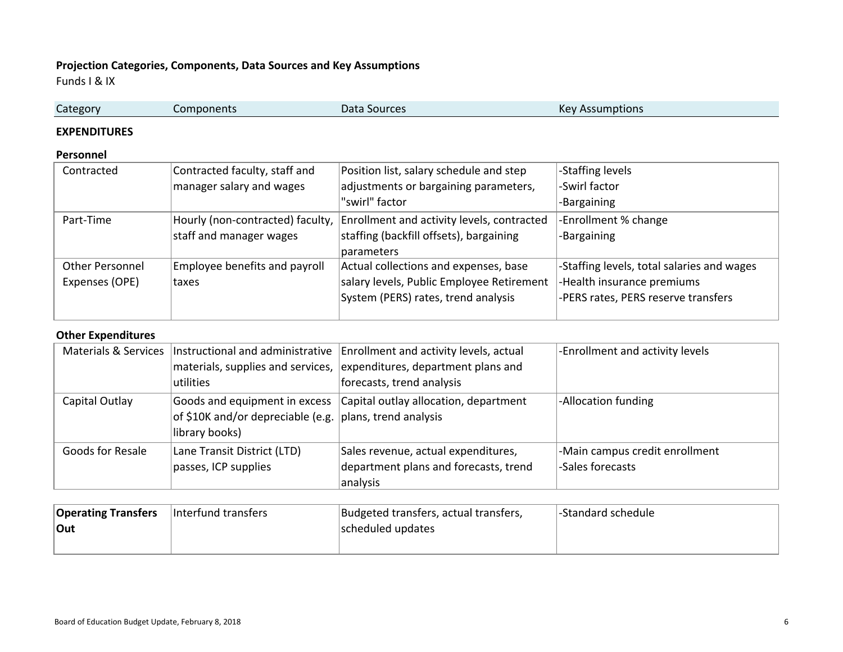# **Projection Categories, Components, Data Sources and Key Assumptions**

Funds I & IX

| Category | Components | Data<br>Sources | VQ<br><b>Assumptions</b><br>Γĸ |  |
|----------|------------|-----------------|--------------------------------|--|
|          |            |                 |                                |  |

#### **EXPENDITURES**

### **Personnel**

| Contracted             | Contracted faculty, staff and    | Position list, salary schedule and step    | -Staffing levels                          |
|------------------------|----------------------------------|--------------------------------------------|-------------------------------------------|
|                        | manager salary and wages         | adjustments or bargaining parameters,      | -Swirl factor                             |
|                        |                                  | "swirl" factor                             | -Bargaining                               |
| Part-Time              | Hourly (non-contracted) faculty, | Enrollment and activity levels, contracted | -Enrollment % change                      |
|                        | staff and manager wages          | staffing (backfill offsets), bargaining    | -Bargaining                               |
|                        |                                  | parameters                                 |                                           |
| <b>Other Personnel</b> | Employee benefits and payroll    | Actual collections and expenses, base      | Staffing levels, total salaries and wages |
| Expenses (OPE)         | taxes                            | salary levels, Public Employee Retirement  | -Health insurance premiums                |
|                        |                                  | System (PERS) rates, trend analysis        | -PERS rates, PERS reserve transfers       |
|                        |                                  |                                            |                                           |

#### **Other Expenditures**

|                  | Materials & Services   Instructional and administrative<br>materials, supplies and services,<br>utilities      | Enrollment and activity levels, actual<br>expenditures, department plans and<br>forecasts, trend analysis | -Enrollment and activity levels                    |
|------------------|----------------------------------------------------------------------------------------------------------------|-----------------------------------------------------------------------------------------------------------|----------------------------------------------------|
| Capital Outlay   | Goods and equipment in excess<br>of \$10K and/or depreciable (e.g. $ $ plans, trend analysis<br>library books) | Capital outlay allocation, department                                                                     | -Allocation funding                                |
| Goods for Resale | Lane Transit District (LTD)<br>passes, ICP supplies                                                            | Sales revenue, actual expenditures,<br>department plans and forecasts, trend                              | -Main campus credit enrollment<br>-Sales forecasts |
|                  |                                                                                                                | analysis                                                                                                  |                                                    |

| <b>Operating Transfers</b> | linterfund transfers | Budgeted transfers, actual transfers, | l-Standard schedule |
|----------------------------|----------------------|---------------------------------------|---------------------|
| ∣Out                       |                      | scheduled updates                     |                     |
|                            |                      |                                       |                     |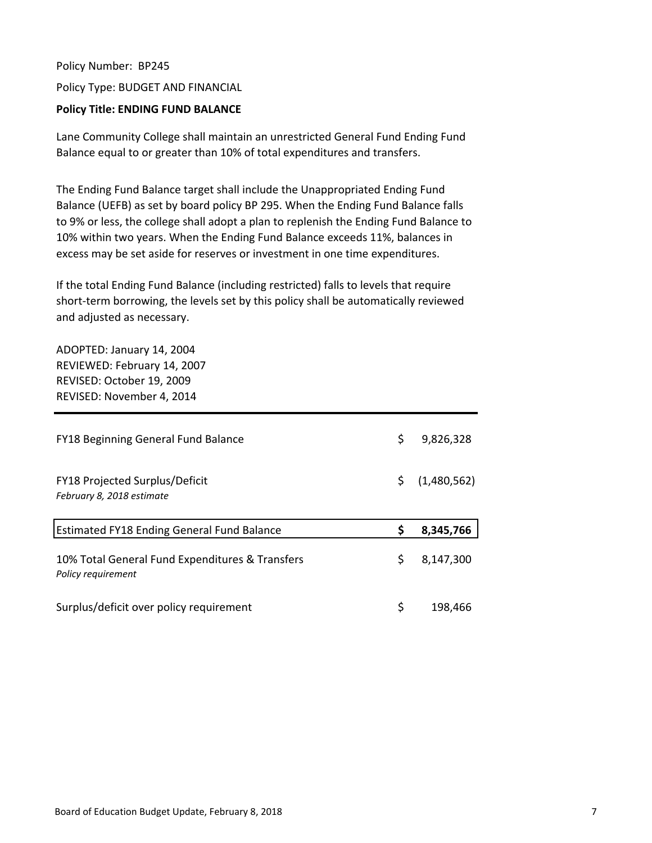Policy Number: BP245 Policy Type: BUDGET AND FINANCIAL

# **Policy Title: ENDING FUND BALANCE**

Lane Community College shall maintain an unrestricted General Fund Ending Fund Balance equal to or greater than 10% of total expenditures and transfers.

The Ending Fund Balance target shall include the Unappropriated Ending Fund Balance (UEFB) as set by board policy BP 295. When the Ending Fund Balance falls to 9% or less, the college shall adopt a plan to replenish the Ending Fund Balance to 10% within two years. When the Ending Fund Balance exceeds 11%, balances in excess may be set aside for reserves or investment in one time expenditures.

If the total Ending Fund Balance (including restricted) falls to levels that require short-term borrowing, the levels set by this policy shall be automatically reviewed and adjusted as necessary.

ADOPTED: January 14, 2004 REVIEWED: February 14, 2007 REVISED: October 19, 2009 REVISED: November 4, 2014

| <b>FY18 Beginning General Fund Balance</b>                            | \$  | 9,826,328   |
|-----------------------------------------------------------------------|-----|-------------|
| FY18 Projected Surplus/Deficit<br>February 8, 2018 estimate           | \$. | (1,480,562) |
|                                                                       |     |             |
| <b>Estimated FY18 Ending General Fund Balance</b>                     |     | 8,345,766   |
| 10% Total General Fund Expenditures & Transfers<br>Policy requirement | \$  | 8,147,300   |